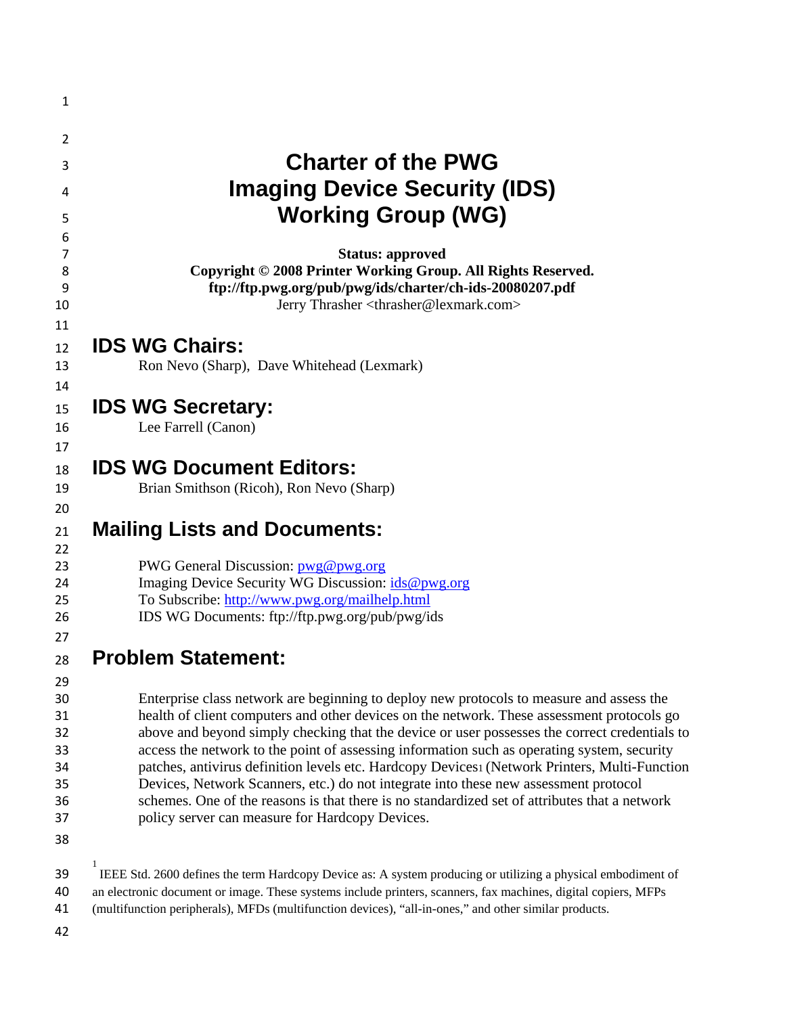| 1                                                        |                                                                                                                                                                                                                                                                                                                                                                                                                                                                                                                                                                                                                                                                                                                                     |
|----------------------------------------------------------|-------------------------------------------------------------------------------------------------------------------------------------------------------------------------------------------------------------------------------------------------------------------------------------------------------------------------------------------------------------------------------------------------------------------------------------------------------------------------------------------------------------------------------------------------------------------------------------------------------------------------------------------------------------------------------------------------------------------------------------|
| 2                                                        |                                                                                                                                                                                                                                                                                                                                                                                                                                                                                                                                                                                                                                                                                                                                     |
| 3                                                        | <b>Charter of the PWG</b>                                                                                                                                                                                                                                                                                                                                                                                                                                                                                                                                                                                                                                                                                                           |
| 4                                                        | <b>Imaging Device Security (IDS)</b>                                                                                                                                                                                                                                                                                                                                                                                                                                                                                                                                                                                                                                                                                                |
|                                                          | <b>Working Group (WG)</b>                                                                                                                                                                                                                                                                                                                                                                                                                                                                                                                                                                                                                                                                                                           |
| 5<br>6                                                   |                                                                                                                                                                                                                                                                                                                                                                                                                                                                                                                                                                                                                                                                                                                                     |
| 7<br>8<br>9<br>10                                        | <b>Status: approved</b><br>Copyright © 2008 Printer Working Group. All Rights Reserved.<br>ftp://ftp.pwg.org/pub/pwg/ids/charter/ch-ids-20080207.pdf<br>Jerry Thrasher <thrasher@lexmark.com></thrasher@lexmark.com>                                                                                                                                                                                                                                                                                                                                                                                                                                                                                                                |
| 11                                                       |                                                                                                                                                                                                                                                                                                                                                                                                                                                                                                                                                                                                                                                                                                                                     |
| 12<br>13                                                 | <b>IDS WG Chairs:</b><br>Ron Nevo (Sharp), Dave Whitehead (Lexmark)                                                                                                                                                                                                                                                                                                                                                                                                                                                                                                                                                                                                                                                                 |
| 14                                                       |                                                                                                                                                                                                                                                                                                                                                                                                                                                                                                                                                                                                                                                                                                                                     |
| 15                                                       | <b>IDS WG Secretary:</b>                                                                                                                                                                                                                                                                                                                                                                                                                                                                                                                                                                                                                                                                                                            |
| 16                                                       | Lee Farrell (Canon)                                                                                                                                                                                                                                                                                                                                                                                                                                                                                                                                                                                                                                                                                                                 |
| 17                                                       |                                                                                                                                                                                                                                                                                                                                                                                                                                                                                                                                                                                                                                                                                                                                     |
| 18                                                       | <b>IDS WG Document Editors:</b>                                                                                                                                                                                                                                                                                                                                                                                                                                                                                                                                                                                                                                                                                                     |
| 19                                                       | Brian Smithson (Ricoh), Ron Nevo (Sharp)                                                                                                                                                                                                                                                                                                                                                                                                                                                                                                                                                                                                                                                                                            |
| 20<br>21<br>22                                           | <b>Mailing Lists and Documents:</b>                                                                                                                                                                                                                                                                                                                                                                                                                                                                                                                                                                                                                                                                                                 |
| 23<br>24<br>25<br>26<br>27                               | PWG General Discussion: pwg@pwg.org<br>Imaging Device Security WG Discussion: ids@pwg.org<br>To Subscribe: http://www.pwg.org/mailhelp.html<br>IDS WG Documents: ftp://ftp.pwg.org/pub/pwg/ids                                                                                                                                                                                                                                                                                                                                                                                                                                                                                                                                      |
| 28                                                       | <b>Problem Statement:</b>                                                                                                                                                                                                                                                                                                                                                                                                                                                                                                                                                                                                                                                                                                           |
| 29<br>30<br>31<br>32<br>33<br>34<br>35<br>36<br>37<br>38 | Enterprise class network are beginning to deploy new protocols to measure and assess the<br>health of client computers and other devices on the network. These assessment protocols go<br>above and beyond simply checking that the device or user possesses the correct credentials to<br>access the network to the point of assessing information such as operating system, security<br>patches, antivirus definition levels etc. Hardcopy Devices1 (Network Printers, Multi-Function<br>Devices, Network Scanners, etc.) do not integrate into these new assessment protocol<br>schemes. One of the reasons is that there is no standardized set of attributes that a network<br>policy server can measure for Hardcopy Devices. |
| 39<br>40<br>41                                           | 1<br>IEEE Std. 2600 defines the term Hardcopy Device as: A system producing or utilizing a physical embodiment of<br>an electronic document or image. These systems include printers, scanners, fax machines, digital copiers, MFPs<br>(multifunction peripherals), MFDs (multifunction devices), "all-in-ones," and other similar products.                                                                                                                                                                                                                                                                                                                                                                                        |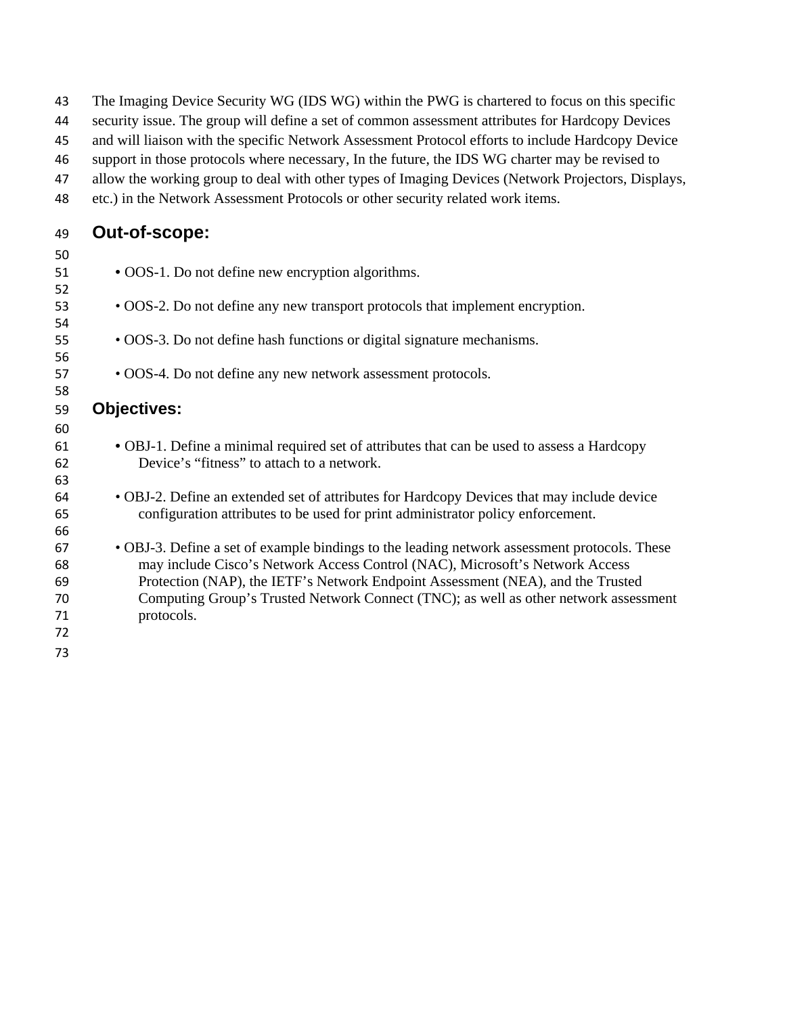| 43       | The Imaging Device Security WG (IDS WG) within the PWG is chartered to focus on this specific                                                                                |
|----------|------------------------------------------------------------------------------------------------------------------------------------------------------------------------------|
| 44       | security issue. The group will define a set of common assessment attributes for Hardcopy Devices                                                                             |
| 45       | and will liaison with the specific Network Assessment Protocol efforts to include Hardcopy Device                                                                            |
| 46       | support in those protocols where necessary, In the future, the IDS WG charter may be revised to                                                                              |
| 47       | allow the working group to deal with other types of Imaging Devices (Network Projectors, Displays,                                                                           |
| 48       | etc.) in the Network Assessment Protocols or other security related work items.                                                                                              |
| 49       | Out-of-scope:                                                                                                                                                                |
| 50       |                                                                                                                                                                              |
| 51       | • OOS-1. Do not define new encryption algorithms.                                                                                                                            |
| 52       |                                                                                                                                                                              |
| 53       | • OOS-2. Do not define any new transport protocols that implement encryption.                                                                                                |
| 54       |                                                                                                                                                                              |
| 55       | • OOS-3. Do not define hash functions or digital signature mechanisms.                                                                                                       |
| 56<br>57 | • OOS-4. Do not define any new network assessment protocols.                                                                                                                 |
| 58       |                                                                                                                                                                              |
| 59       | <b>Objectives:</b>                                                                                                                                                           |
| 60       |                                                                                                                                                                              |
| 61       | · OBJ-1. Define a minimal required set of attributes that can be used to assess a Hardcopy                                                                                   |
| 62       | Device's "fitness" to attach to a network.                                                                                                                                   |
| 63       |                                                                                                                                                                              |
| 64       | • OBJ-2. Define an extended set of attributes for Hardcopy Devices that may include device                                                                                   |
| 65       | configuration attributes to be used for print administrator policy enforcement.                                                                                              |
| 66       |                                                                                                                                                                              |
| 67<br>68 | • OBJ-3. Define a set of example bindings to the leading network assessment protocols. These<br>may include Cisco's Network Access Control (NAC), Microsoft's Network Access |
| 69       | Protection (NAP), the IETF's Network Endpoint Assessment (NEA), and the Trusted                                                                                              |
| 70       | Computing Group's Trusted Network Connect (TNC); as well as other network assessment                                                                                         |
| 71       | protocols.                                                                                                                                                                   |
| 72       |                                                                                                                                                                              |
| 73       |                                                                                                                                                                              |